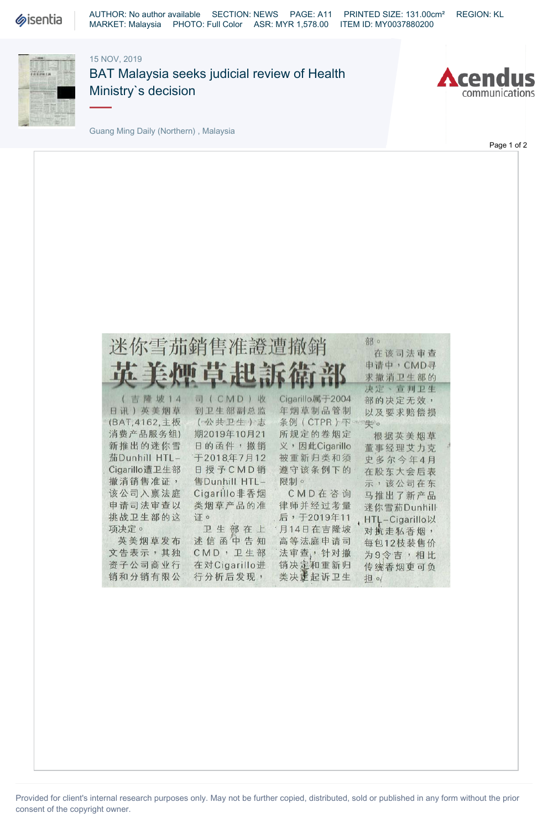

AUTHOR: No author available SECTION: NEWS PAGE: A11 PRINTED SIZE: 131.00cm² REGION: KL MARKET: Malaysia PHOTO: Full Color ASR: MYR 1,578.00 ITEM ID: MY0037880200

## 15 NOV, 2019



BAT Malaysia seeks judicial review of Health Ministry`s decision



Page 1 of 2

Guang Ming Daily (Northern) , Malaysia

|                          | 迷你雪茄銷售准證遭撤銷<br>英美煙草起訴衛部  |                 | 部。<br><b>WARE WEIGHT</b><br>在该司法审查<br>申请中, CMD寻<br>求撤消卫生部的 |
|--------------------------|--------------------------|-----------------|------------------------------------------------------------|
| (吉隆坡14                   | 司(CMD)收                  | Cigarillo属于2004 | 决定、宣判卫生                                                    |
| 日讯) 英美烟草                 | 到卫生部副总监                  | 年烟草制品管制         | 部的决定无效,                                                    |
| (BAT, 4162, 主板           | (公共卫生)志                  | 条例(CTPR)不       | 以及要求赔偿损                                                    |
| 消费产品服务组)                 | 期2019年10月21              | 所规定的卷烟定         | 失。                                                         |
| 新推出的迷你雪                  | 日的函件,撤销                  | 义,因此Cigarillo   | 根据英美烟草                                                     |
| 茄Dunhill HTL-            | 于2018年7月12               | 被重新归类和须         | 董事经理艾力克                                                    |
| Cigarillo遭卫生部<br>撤消销售准证, | 日授予CMD销<br>售Dunhill HTL- | 遵守该条例下的<br>限制。  | 史多尔今年4月<br>在股东大会后表<br>示,该公司在东                              |
| 该公司入禀法庭                  | Cigarillo非香烟             | CMD在咨询          | 马推出了新产品                                                    |
| 申请司法审查以                  | 类烟草产品的准                  | 律师并经过考量         | 迷你雪茄Dunhill                                                |
| 挑战卫生部的这                  | 证。                       | 后,于2019年11      | HTL-Cigarillo以                                             |
| 项决定。                     | 卫生部在上                    | 月14日在吉隆坡        | 对抗走私香烟,                                                    |
| 英美烟草发布                   | 述信函中告知                   | 高等法庭申请司         | 每包12枝装售价                                                   |
| 文告表示,其独                  | CMD,卫生部                  | 法审查,针对撤         | 为9令吉,相比                                                    |
| 资子公司商业行                  | 在对Cigarillo进             | 销决定和重新归         | 传统香烟更可负                                                    |
| 销和分销有限公                  | 行分析后发现,                  | 类决定起诉卫生         | <b>担</b> o/                                                |
|                          |                          |                 |                                                            |

Provided for client's internal research purposes only. May not be further copied, distributed, sold or published in any form without the prior consent of the copyright owner.